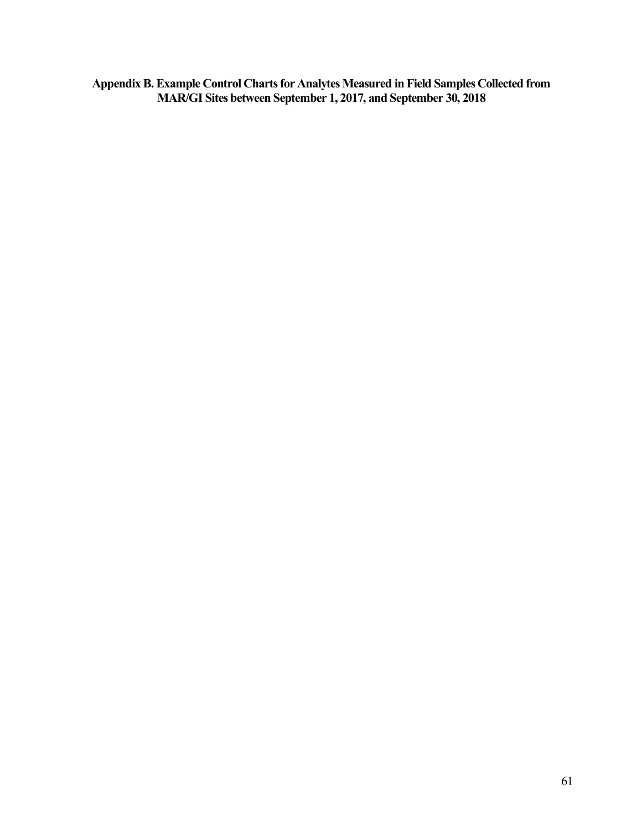**Appendix B. Example Control Charts for Analytes Measured in Field Samples Collected from MAR/GI Sites between September 1, 2017, and September 30, 2018**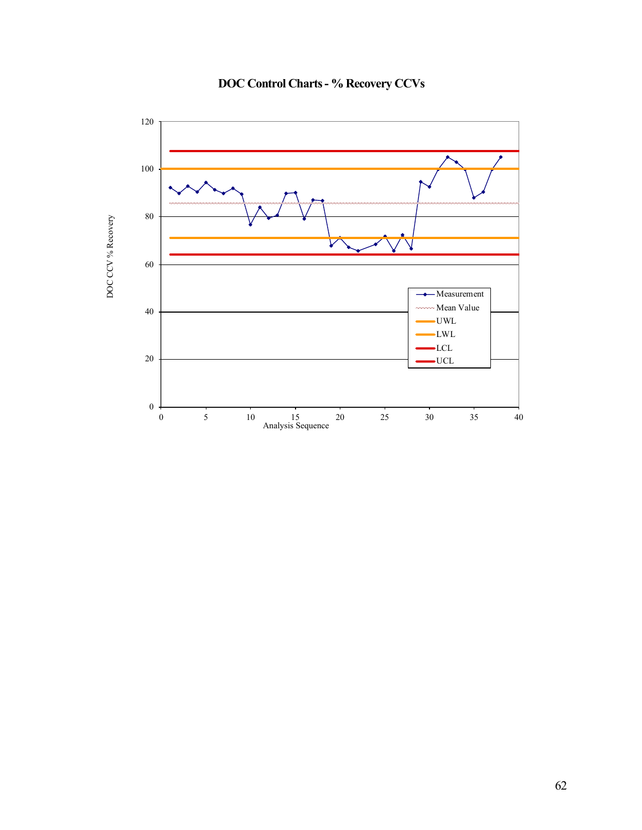

**DOC Control Charts - % Recovery CCVs**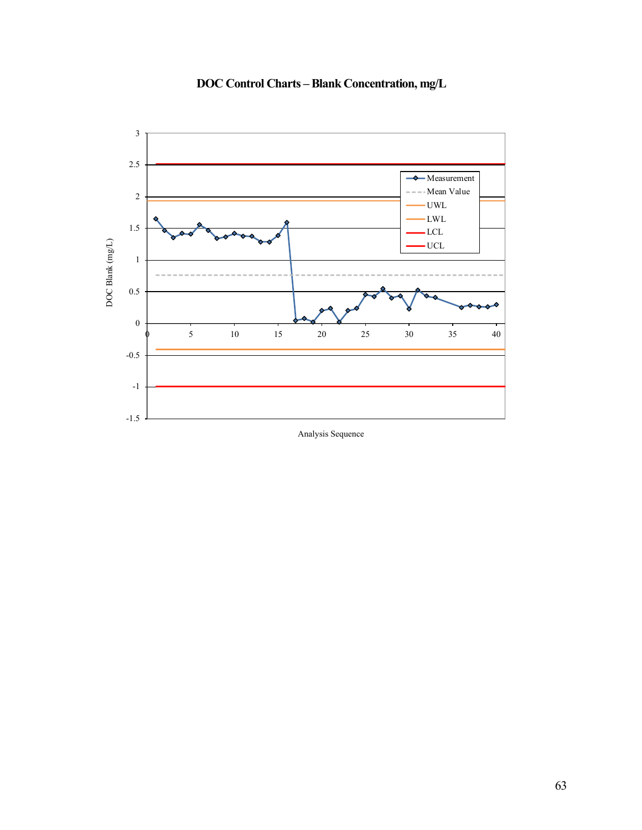

**DOC Control Charts –Blank Concentration, mg/L**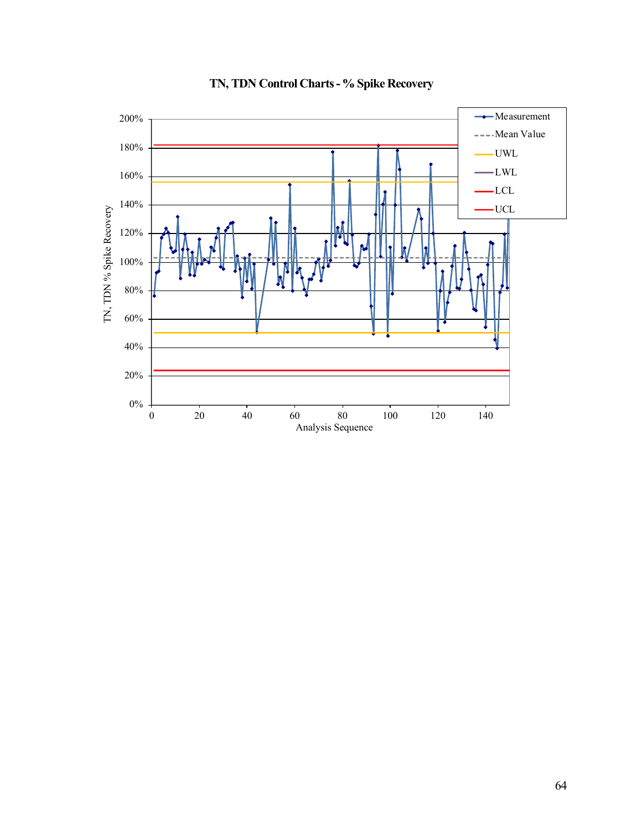

# **TN, TDN Control Charts - % Spike Recovery**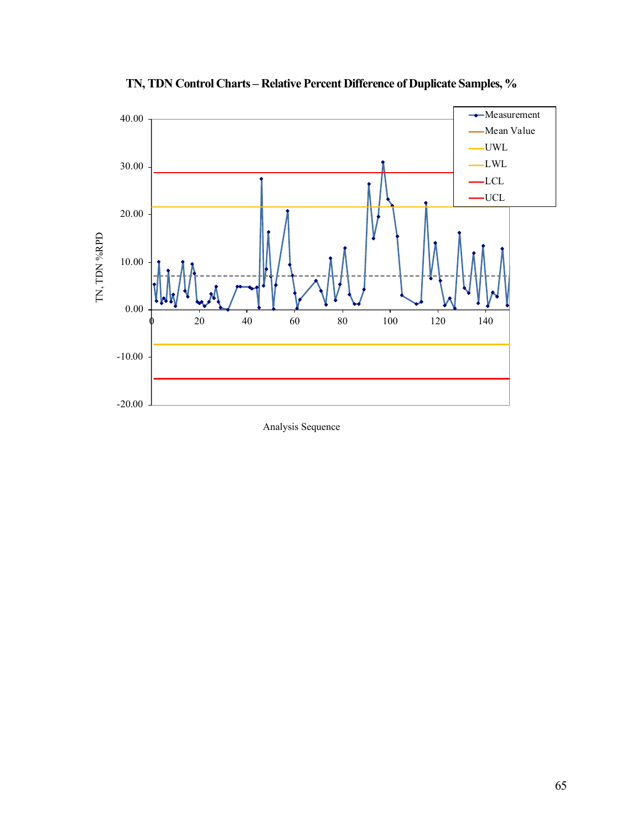

**TN, TDN Control Charts – Relative Percent Difference of Duplicate Samples, %**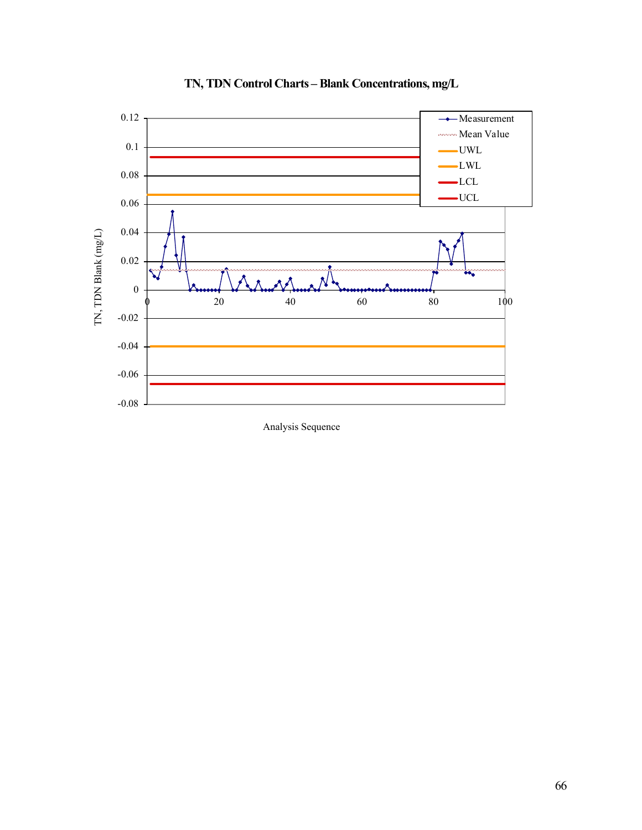

## **TN, TDN Control Charts – Blank Concentrations, mg/L**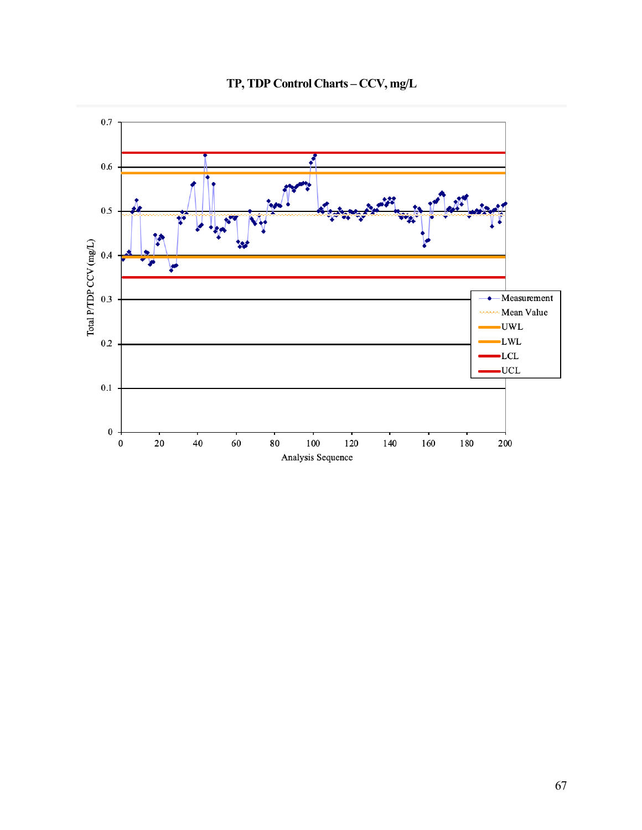

# **TP, TDP Control Charts – CCV, mg/L**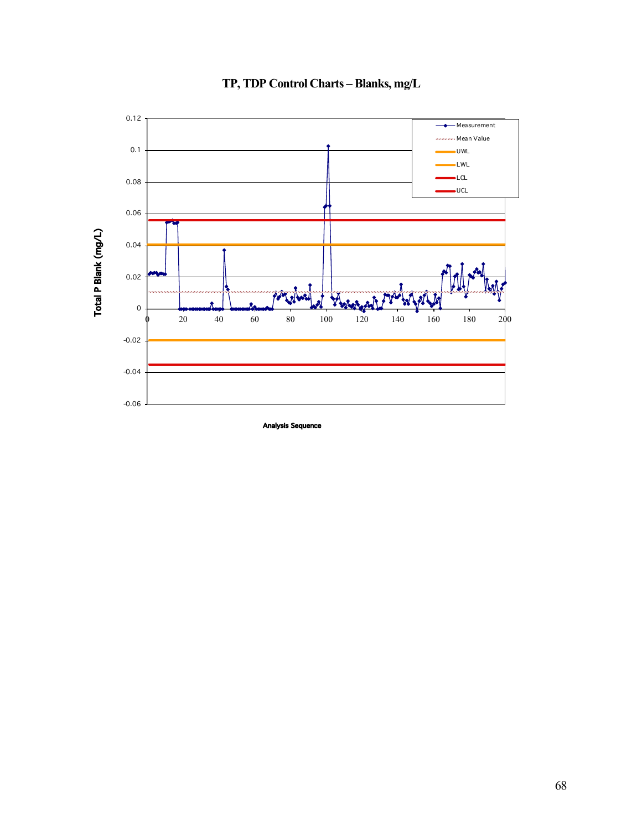

# **TP, TDP Control Charts – Blanks, mg/L**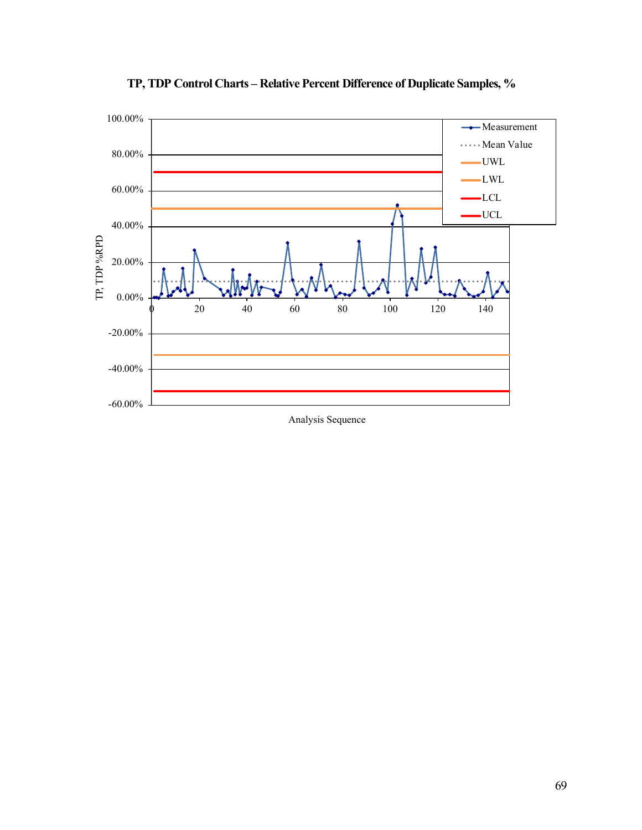

**TP, TDP Control Charts – Relative Percent Difference of Duplicate Samples, %**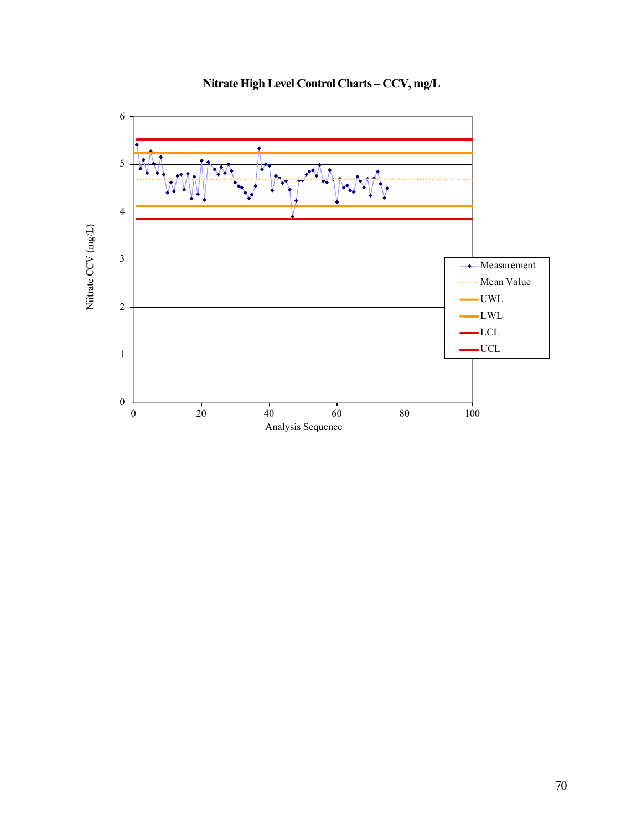

**Nitrate High Level Control Charts – CCV, mg/L**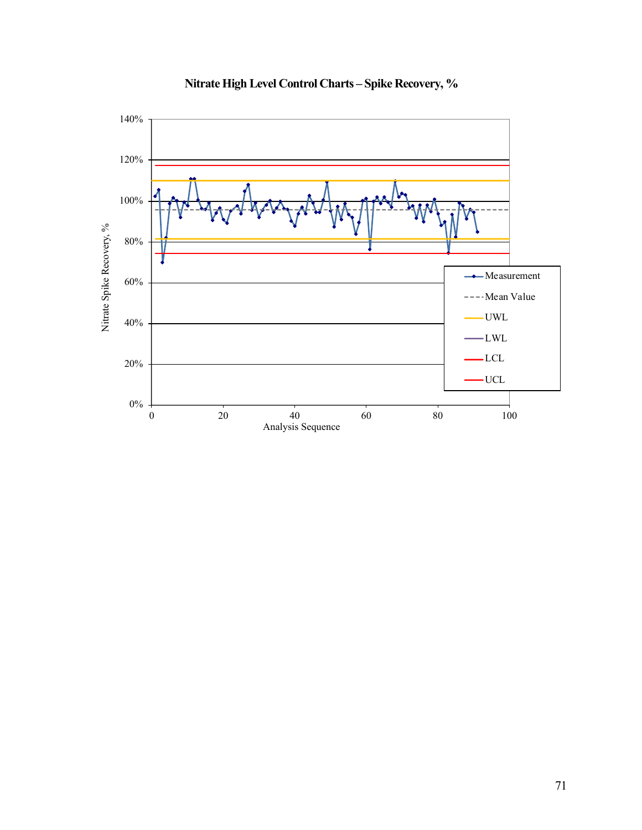

# **Nitrate High Level Control Charts – Spike Recovery, %**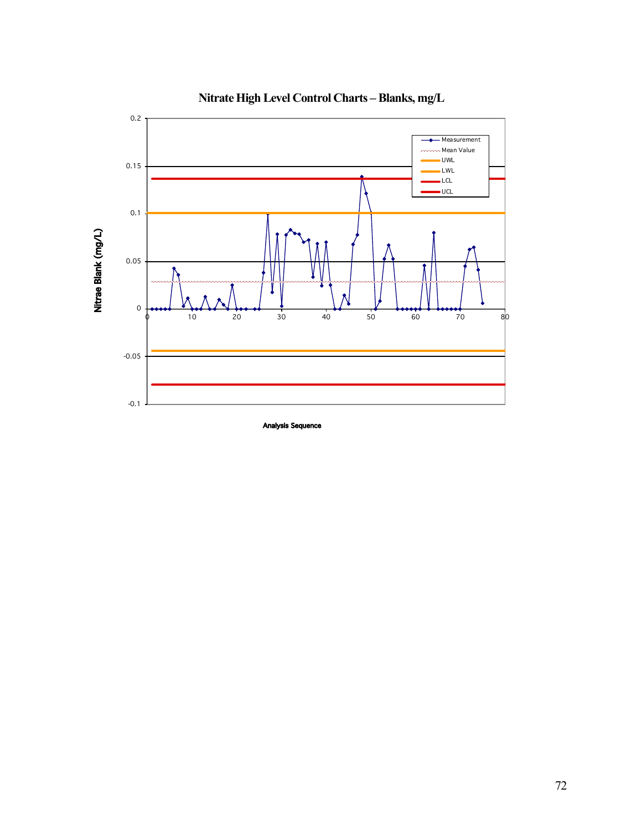

**Nitrate High Level Control Charts – Blanks, mg/L**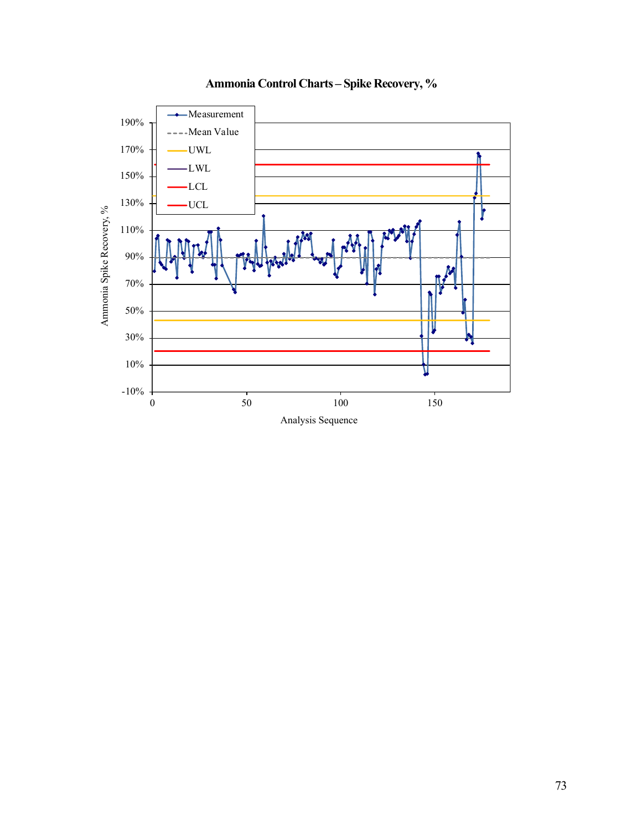

# **Ammonia Control Charts – Spike Recovery, %**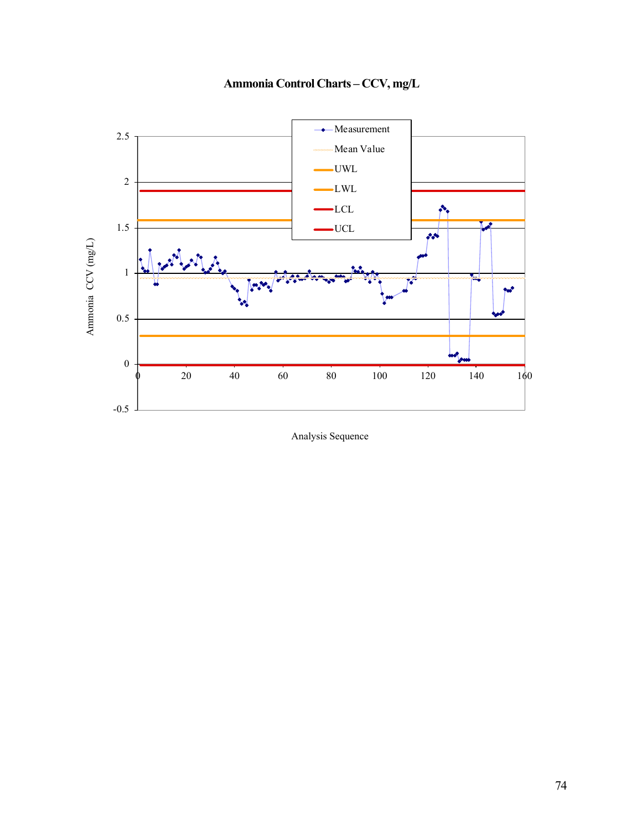

**Ammonia Control Charts – CCV, mg/L**

Analysis Sequence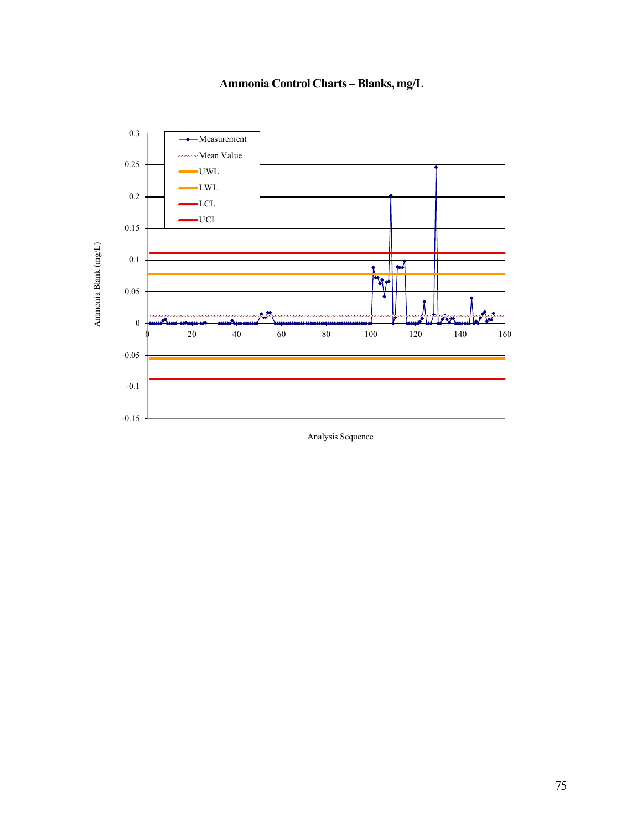

**Ammonia Control Charts – Blanks, mg/L**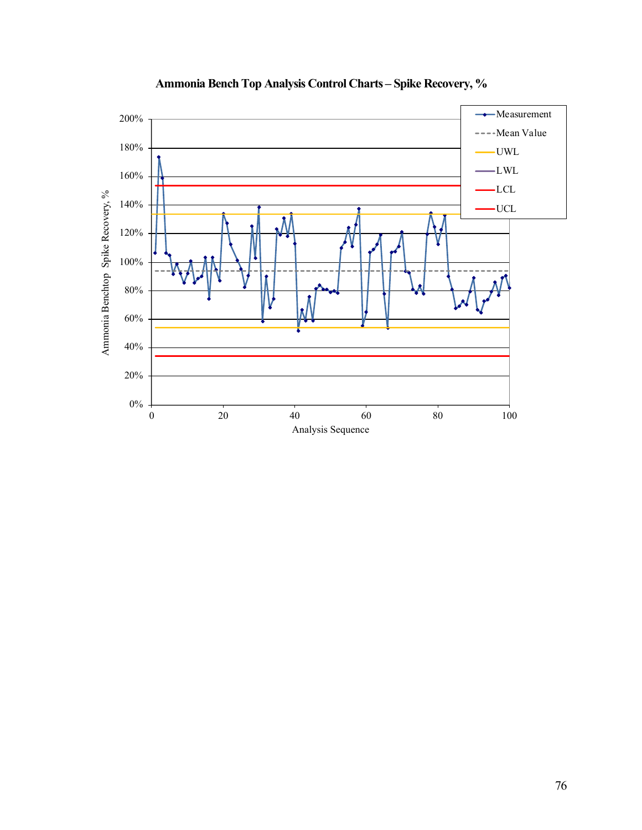

**Ammonia Bench Top Analysis Control Charts – Spike Recovery, %**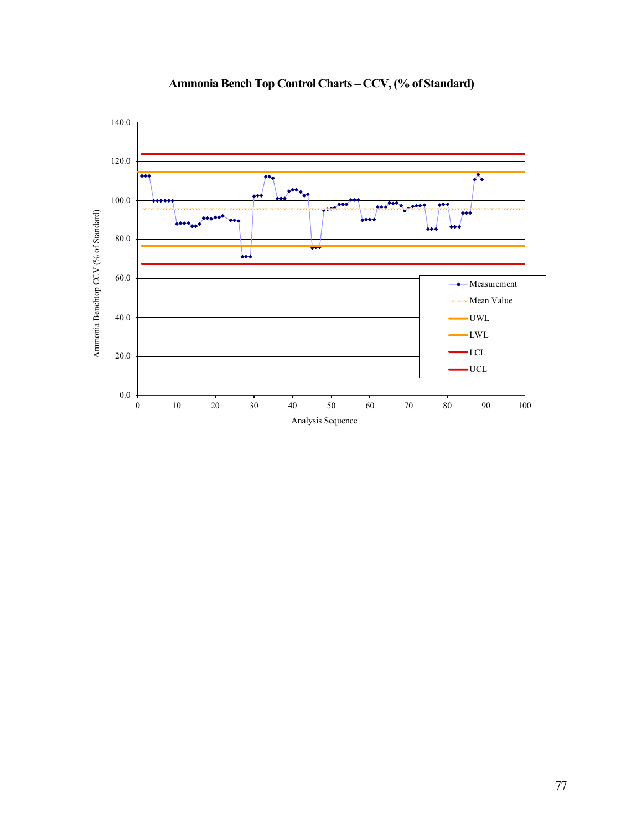

# **Ammonia Bench Top Control Charts – CCV, (% of Standard)**